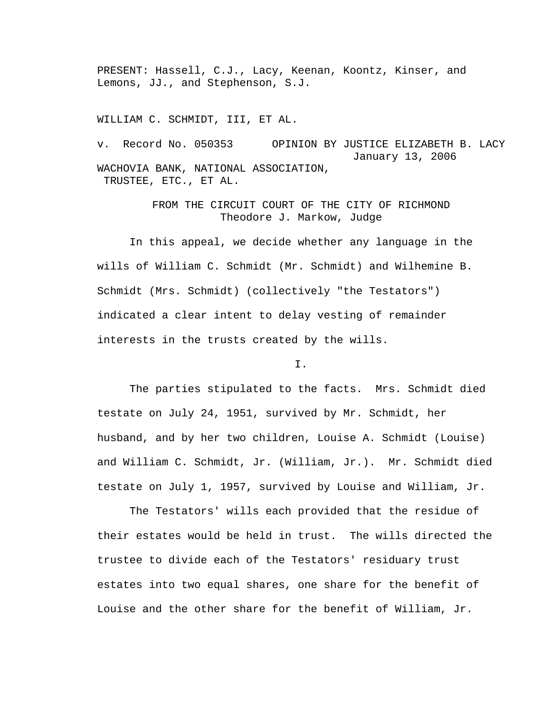PRESENT: Hassell, C.J., Lacy, Keenan, Koontz, Kinser, and Lemons, JJ., and Stephenson, S.J.

WILLIAM C. SCHMIDT, III, ET AL.

v. Record No. 050353 OPINION BY JUSTICE ELIZABETH B. LACY January 13, 2006 WACHOVIA BANK, NATIONAL ASSOCIATION, TRUSTEE, ETC., ET AL.

> FROM THE CIRCUIT COURT OF THE CITY OF RICHMOND Theodore J. Markow, Judge

 In this appeal, we decide whether any language in the wills of William C. Schmidt (Mr. Schmidt) and Wilhemine B. Schmidt (Mrs. Schmidt) (collectively "the Testators") indicated a clear intent to delay vesting of remainder interests in the trusts created by the wills.

I.

 The parties stipulated to the facts. Mrs. Schmidt died testate on July 24, 1951, survived by Mr. Schmidt, her husband, and by her two children, Louise A. Schmidt (Louise) and William C. Schmidt, Jr. (William, Jr.). Mr. Schmidt died testate on July 1, 1957, survived by Louise and William, Jr.

 The Testators' wills each provided that the residue of their estates would be held in trust. The wills directed the trustee to divide each of the Testators' residuary trust estates into two equal shares, one share for the benefit of Louise and the other share for the benefit of William, Jr.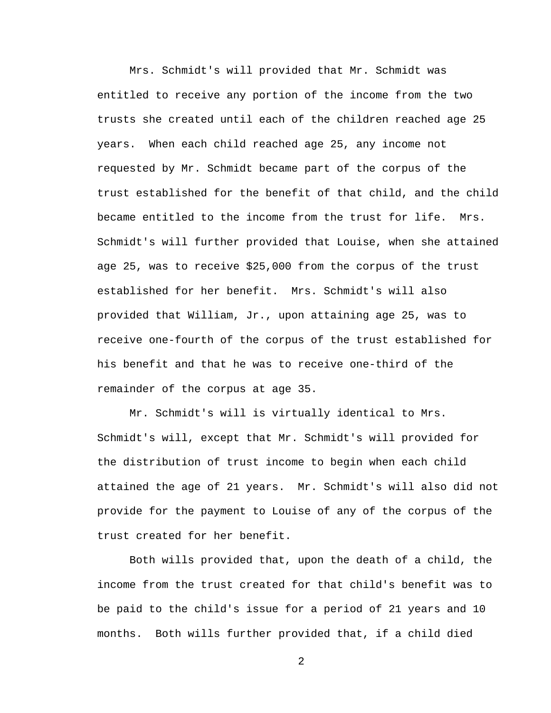Mrs. Schmidt's will provided that Mr. Schmidt was entitled to receive any portion of the income from the two trusts she created until each of the children reached age 25 years. When each child reached age 25, any income not requested by Mr. Schmidt became part of the corpus of the trust established for the benefit of that child, and the child became entitled to the income from the trust for life. Mrs. Schmidt's will further provided that Louise, when she attained age 25, was to receive \$25,000 from the corpus of the trust established for her benefit. Mrs. Schmidt's will also provided that William, Jr., upon attaining age 25, was to receive one-fourth of the corpus of the trust established for his benefit and that he was to receive one-third of the remainder of the corpus at age 35.

 Mr. Schmidt's will is virtually identical to Mrs. Schmidt's will, except that Mr. Schmidt's will provided for the distribution of trust income to begin when each child attained the age of 21 years. Mr. Schmidt's will also did not provide for the payment to Louise of any of the corpus of the trust created for her benefit.

 Both wills provided that, upon the death of a child, the income from the trust created for that child's benefit was to be paid to the child's issue for a period of 21 years and 10 months. Both wills further provided that, if a child died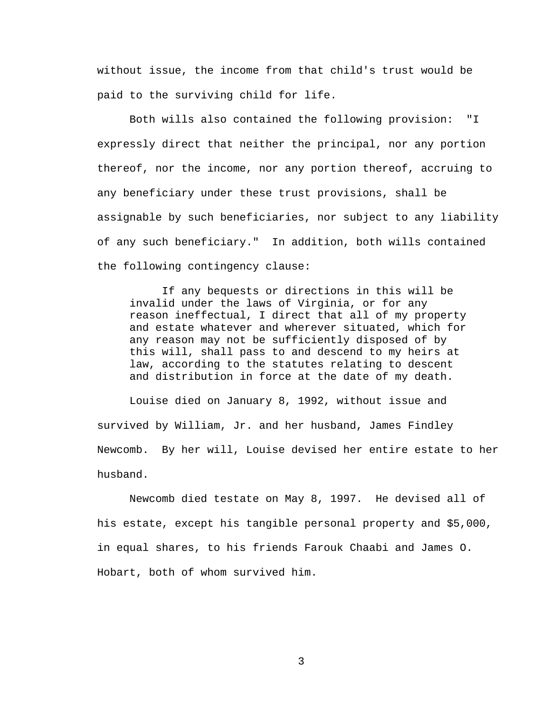without issue, the income from that child's trust would be paid to the surviving child for life.

 Both wills also contained the following provision: "I expressly direct that neither the principal, nor any portion thereof, nor the income, nor any portion thereof, accruing to any beneficiary under these trust provisions, shall be assignable by such beneficiaries, nor subject to any liability of any such beneficiary." In addition, both wills contained the following contingency clause:

 If any bequests or directions in this will be invalid under the laws of Virginia, or for any reason ineffectual, I direct that all of my property and estate whatever and wherever situated, which for any reason may not be sufficiently disposed of by this will, shall pass to and descend to my heirs at law, according to the statutes relating to descent and distribution in force at the date of my death.

 Louise died on January 8, 1992, without issue and survived by William, Jr. and her husband, James Findley Newcomb. By her will, Louise devised her entire estate to her husband.

 Newcomb died testate on May 8, 1997. He devised all of his estate, except his tangible personal property and \$5,000, in equal shares, to his friends Farouk Chaabi and James O. Hobart, both of whom survived him.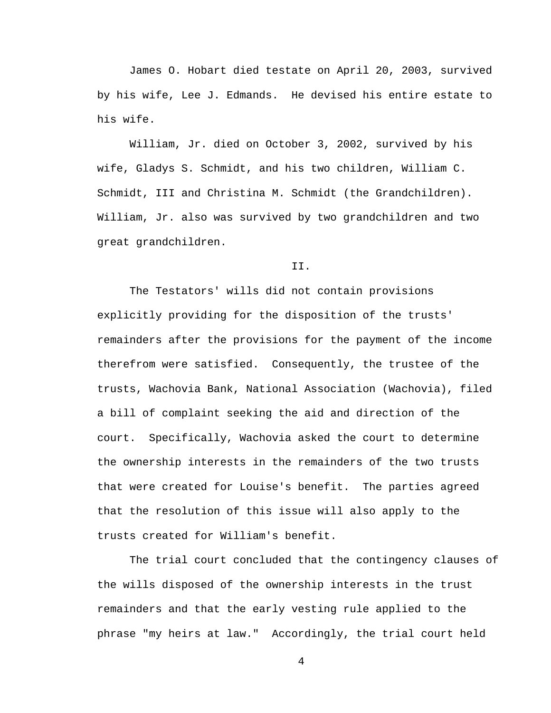James O. Hobart died testate on April 20, 2003, survived by his wife, Lee J. Edmands. He devised his entire estate to his wife.

 William, Jr. died on October 3, 2002, survived by his wife, Gladys S. Schmidt, and his two children, William C. Schmidt, III and Christina M. Schmidt (the Grandchildren). William, Jr. also was survived by two grandchildren and two great grandchildren.

## II.

 The Testators' wills did not contain provisions explicitly providing for the disposition of the trusts' remainders after the provisions for the payment of the income therefrom were satisfied. Consequently, the trustee of the trusts, Wachovia Bank, National Association (Wachovia), filed a bill of complaint seeking the aid and direction of the court. Specifically, Wachovia asked the court to determine the ownership interests in the remainders of the two trusts that were created for Louise's benefit. The parties agreed that the resolution of this issue will also apply to the trusts created for William's benefit.

The trial court concluded that the contingency clauses of the wills disposed of the ownership interests in the trust remainders and that the early vesting rule applied to the phrase "my heirs at law." Accordingly, the trial court held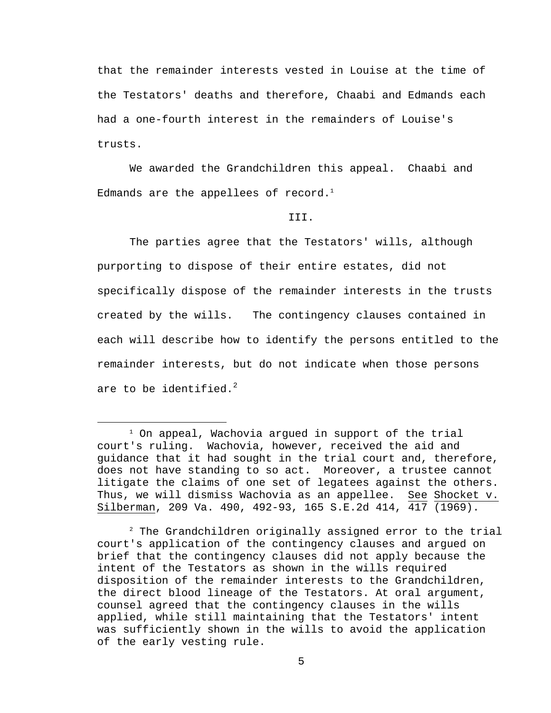that the remainder interests vested in Louise at the time of the Testators' deaths and therefore, Chaabi and Edmands each had a one-fourth interest in the remainders of Louise's trusts.

 We awarded the Grandchildren this appeal. Chaabi and Edmands are the appellees of record. $1$ 

## III.

 The parties agree that the Testators' wills, although purporting to dispose of their entire estates, did not specifically dispose of the remainder interests in the trusts created by the wills. The contingency clauses contained in each will describe how to identify the persons entitled to the remainder interests, but do not indicate when those persons are to be identified.<sup>2</sup>

2 The Grandchildren originally assigned error to the trial court's application of the contingency clauses and argued on brief that the contingency clauses did not apply because the intent of the Testators as shown in the wills required disposition of the remainder interests to the Grandchildren, the direct blood lineage of the Testators. At oral argument, counsel agreed that the contingency clauses in the wills applied, while still maintaining that the Testators' intent was sufficiently shown in the wills to avoid the application of the early vesting rule.

 $\overline{\phantom{a}}$  $1$  On appeal, Wachovia argued in support of the trial court's ruling. Wachovia, however, received the aid and guidance that it had sought in the trial court and, therefore, does not have standing to so act. Moreover, a trustee cannot litigate the claims of one set of legatees against the others. Thus, we will dismiss Wachovia as an appellee. See Shocket v. Silberman, 209 Va. 490, 492-93, 165 S.E.2d 414, 417 (1969).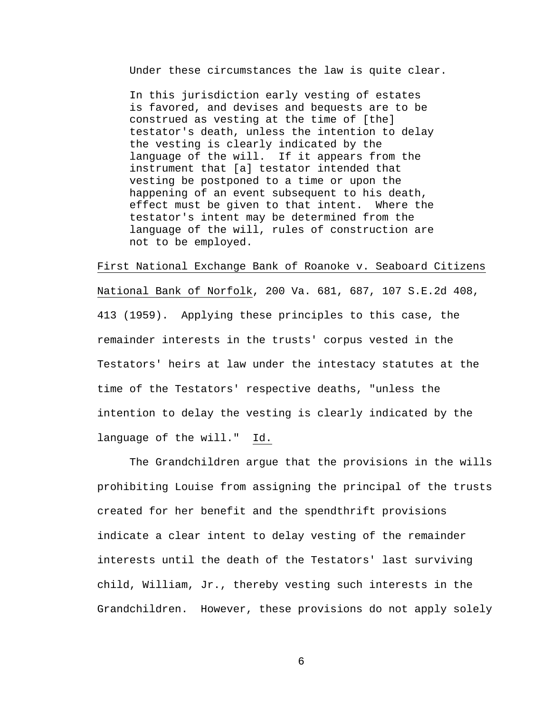Under these circumstances the law is quite clear.

In this jurisdiction early vesting of estates is favored, and devises and bequests are to be construed as vesting at the time of [the] testator's death, unless the intention to delay the vesting is clearly indicated by the language of the will. If it appears from the instrument that [a] testator intended that vesting be postponed to a time or upon the happening of an event subsequent to his death, effect must be given to that intent. Where the testator's intent may be determined from the language of the will, rules of construction are not to be employed.

First National Exchange Bank of Roanoke v. Seaboard Citizens National Bank of Norfolk, 200 Va. 681, 687, 107 S.E.2d 408, 413 (1959). Applying these principles to this case, the remainder interests in the trusts' corpus vested in the Testators' heirs at law under the intestacy statutes at the time of the Testators' respective deaths, "unless the intention to delay the vesting is clearly indicated by the language of the will." Id.

The Grandchildren argue that the provisions in the wills prohibiting Louise from assigning the principal of the trusts created for her benefit and the spendthrift provisions indicate a clear intent to delay vesting of the remainder interests until the death of the Testators' last surviving child, William, Jr., thereby vesting such interests in the Grandchildren. However, these provisions do not apply solely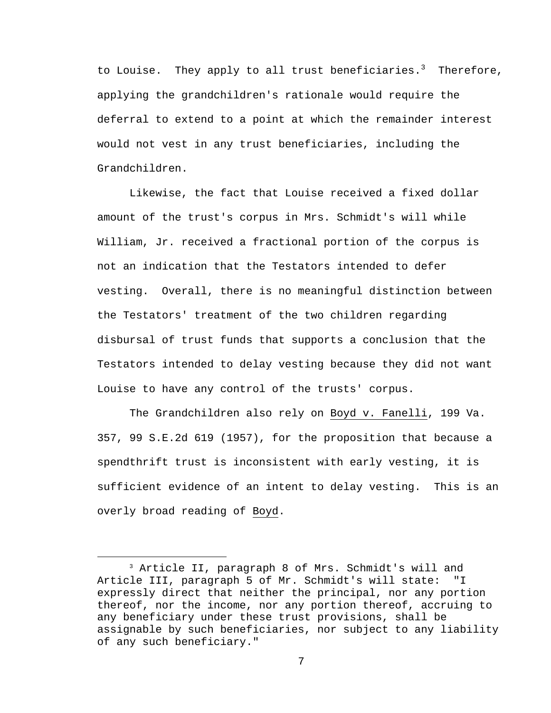to Louise. They apply to all trust beneficiaries. $^3$  Therefore, applying the grandchildren's rationale would require the deferral to extend to a point at which the remainder interest would not vest in any trust beneficiaries, including the Grandchildren.

 Likewise, the fact that Louise received a fixed dollar amount of the trust's corpus in Mrs. Schmidt's will while William, Jr. received a fractional portion of the corpus is not an indication that the Testators intended to defer vesting. Overall, there is no meaningful distinction between the Testators' treatment of the two children regarding disbursal of trust funds that supports a conclusion that the Testators intended to delay vesting because they did not want Louise to have any control of the trusts' corpus.

 The Grandchildren also rely on Boyd v. Fanelli, 199 Va. 357, 99 S.E.2d 619 (1957), for the proposition that because a spendthrift trust is inconsistent with early vesting, it is sufficient evidence of an intent to delay vesting. This is an overly broad reading of Boyd.

 <sup>3</sup> Article II, paragraph 8 of Mrs. Schmidt's will and Article III, paragraph 5 of Mr. Schmidt's will state: "I expressly direct that neither the principal, nor any portion thereof, nor the income, nor any portion thereof, accruing to any beneficiary under these trust provisions, shall be assignable by such beneficiaries, nor subject to any liability of any such beneficiary."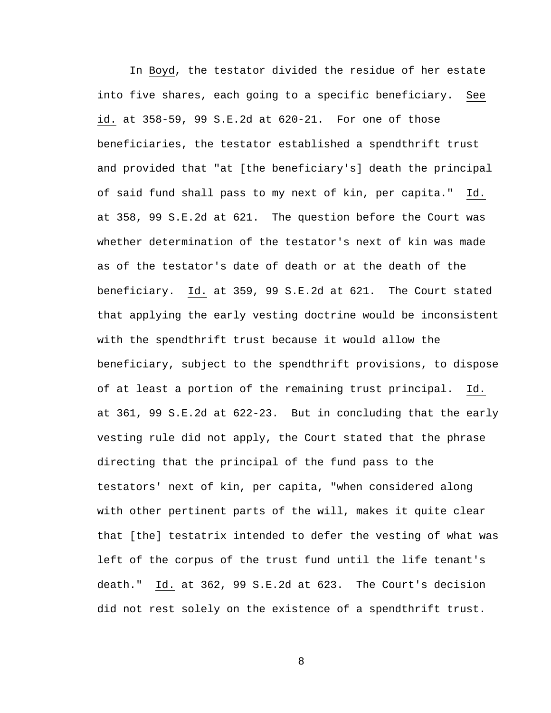In Boyd, the testator divided the residue of her estate into five shares, each going to a specific beneficiary. See id. at 358-59, 99 S.E.2d at 620-21. For one of those beneficiaries, the testator established a spendthrift trust and provided that "at [the beneficiary's] death the principal of said fund shall pass to my next of kin, per capita." Id. at 358, 99 S.E.2d at 621. The question before the Court was whether determination of the testator's next of kin was made as of the testator's date of death or at the death of the beneficiary. Id. at 359, 99 S.E.2d at 621. The Court stated that applying the early vesting doctrine would be inconsistent with the spendthrift trust because it would allow the beneficiary, subject to the spendthrift provisions, to dispose of at least a portion of the remaining trust principal. Id. at 361, 99 S.E.2d at 622-23. But in concluding that the early vesting rule did not apply, the Court stated that the phrase directing that the principal of the fund pass to the testators' next of kin, per capita, "when considered along with other pertinent parts of the will, makes it quite clear that [the] testatrix intended to defer the vesting of what was left of the corpus of the trust fund until the life tenant's death." Id. at 362, 99 S.E.2d at 623. The Court's decision did not rest solely on the existence of a spendthrift trust.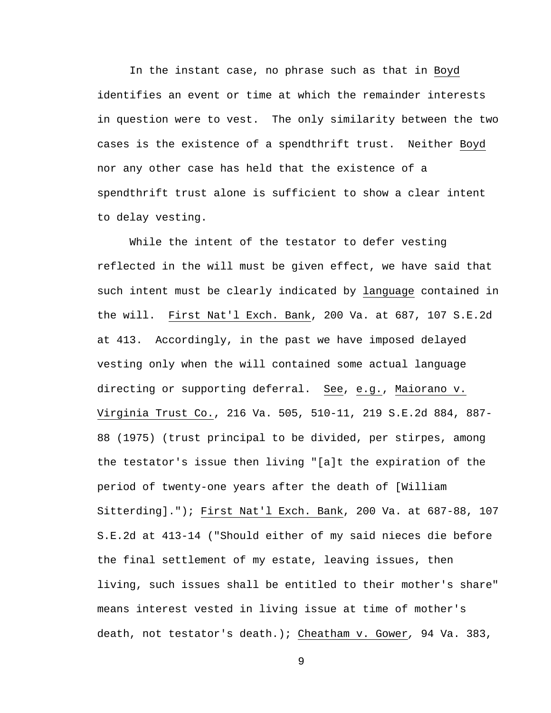In the instant case, no phrase such as that in Boyd identifies an event or time at which the remainder interests in question were to vest. The only similarity between the two cases is the existence of a spendthrift trust. Neither Boyd nor any other case has held that the existence of a spendthrift trust alone is sufficient to show a clear intent to delay vesting.

While the intent of the testator to defer vesting reflected in the will must be given effect, we have said that such intent must be clearly indicated by language contained in the will. First Nat'l Exch. Bank, 200 Va. at 687, 107 S.E.2d at 413. Accordingly, in the past we have imposed delayed vesting only when the will contained some actual language directing or supporting deferral. See, e.g., Maiorano v. Virginia Trust Co., 216 Va. 505, 510-11, 219 S.E.2d 884, 887- 88 (1975) (trust principal to be divided, per stirpes, among the testator's issue then living "[a]t the expiration of the period of twenty-one years after the death of [William Sitterding]."); First Nat'l Exch. Bank, 200 Va. at 687-88, 107 S.E.2d at 413-14 ("Should either of my said nieces die before the final settlement of my estate, leaving issues, then living, such issues shall be entitled to their mother's share" means interest vested in living issue at time of mother's death, not testator's death.); Cheatham v. Gower*,* 94 Va. 383,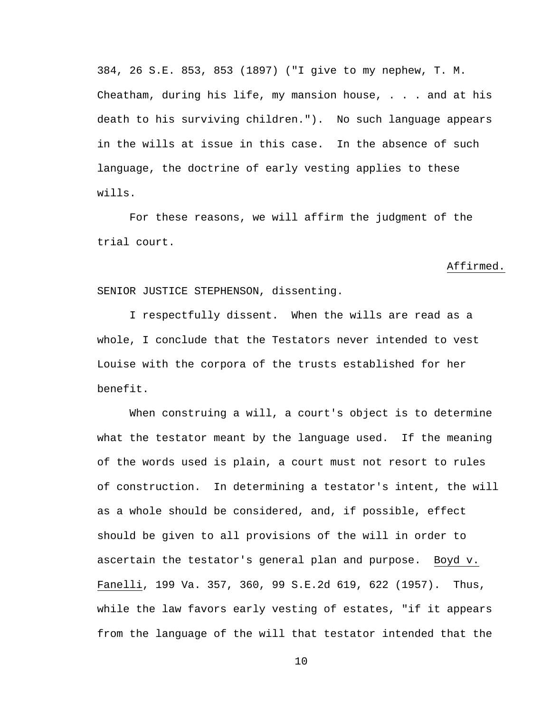384, 26 S.E. 853, 853 (1897) ("I give to my nephew, T. M. Cheatham, during his life, my mansion house, . . . and at his death to his surviving children."). No such language appears in the wills at issue in this case. In the absence of such language, the doctrine of early vesting applies to these wills.

For these reasons, we will affirm the judgment of the trial court.

## Affirmed.

SENIOR JUSTICE STEPHENSON, dissenting.

 I respectfully dissent. When the wills are read as a whole, I conclude that the Testators never intended to vest Louise with the corpora of the trusts established for her benefit.

When construing a will, a court's object is to determine what the testator meant by the language used. If the meaning of the words used is plain, a court must not resort to rules of construction. In determining a testator's intent, the will as a whole should be considered, and, if possible, effect should be given to all provisions of the will in order to ascertain the testator's general plan and purpose. Boyd v. Fanelli, 199 Va. 357, 360, 99 S.E.2d 619, 622 (1957). Thus, while the law favors early vesting of estates, "if it appears from the language of the will that testator intended that the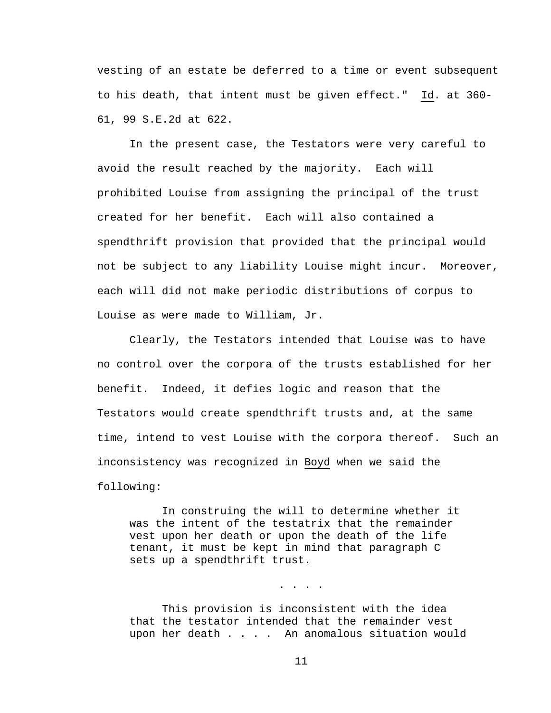vesting of an estate be deferred to a time or event subsequent to his death, that intent must be given effect." Id. at 360- 61, 99 S.E.2d at 622.

 In the present case, the Testators were very careful to avoid the result reached by the majority. Each will prohibited Louise from assigning the principal of the trust created for her benefit. Each will also contained a spendthrift provision that provided that the principal would not be subject to any liability Louise might incur. Moreover, each will did not make periodic distributions of corpus to Louise as were made to William, Jr.

 Clearly, the Testators intended that Louise was to have no control over the corpora of the trusts established for her benefit. Indeed, it defies logic and reason that the Testators would create spendthrift trusts and, at the same time, intend to vest Louise with the corpora thereof. Such an inconsistency was recognized in Boyd when we said the following:

 In construing the will to determine whether it was the intent of the testatrix that the remainder vest upon her death or upon the death of the life tenant, it must be kept in mind that paragraph C sets up a spendthrift trust.

 This provision is inconsistent with the idea that the testator intended that the remainder vest upon her death . . . . An anomalous situation would

. . . .